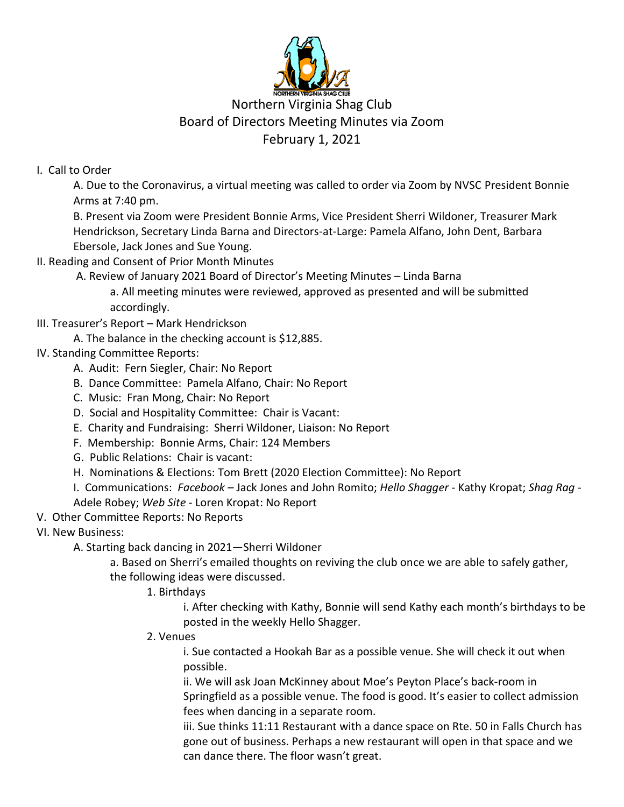

## Northern Virginia Shag Club Board of Directors Meeting Minutes via Zoom February 1, 2021

## I. Call to Order

A. Due to the Coronavirus, a virtual meeting was called to order via Zoom by NVSC President Bonnie Arms at 7:40 pm.

B. Present via Zoom were President Bonnie Arms, Vice President Sherri Wildoner, Treasurer Mark Hendrickson, Secretary Linda Barna and Directors-at-Large: Pamela Alfano, John Dent, Barbara Ebersole, Jack Jones and Sue Young.

II. Reading and Consent of Prior Month Minutes

A. Review of January 2021 Board of Director's Meeting Minutes – Linda Barna

a. All meeting minutes were reviewed, approved as presented and will be submitted accordingly.

- III. Treasurer's Report Mark Hendrickson
	- A. The balance in the checking account is \$12,885.

## IV. Standing Committee Reports:

- A. Audit: Fern Siegler, Chair: No Report
- B. Dance Committee: Pamela Alfano, Chair: No Report
- C. Music: Fran Mong, Chair: No Report
- D. Social and Hospitality Committee: Chair is Vacant:
- E. Charity and Fundraising: Sherri Wildoner, Liaison: No Report
- F. Membership: Bonnie Arms, Chair: 124 Members
- G. Public Relations: Chair is vacant:
- H. Nominations & Elections: Tom Brett (2020 Election Committee): No Report
- I. Communications: *Facebook –* Jack Jones and John Romito; *Hello Shagger* Kathy Kropat; *Shag Rag* Adele Robey; *Web Site -* Loren Kropat: No Report
- V. Other Committee Reports: No Reports

VI. New Business:

A. Starting back dancing in 2021—Sherri Wildoner

a. Based on Sherri's emailed thoughts on reviving the club once we are able to safely gather, the following ideas were discussed.

1. Birthdays

i. After checking with Kathy, Bonnie will send Kathy each month's birthdays to be posted in the weekly Hello Shagger.

2. Venues

i. Sue contacted a Hookah Bar as a possible venue. She will check it out when possible.

ii. We will ask Joan McKinney about Moe's Peyton Place's back-room in Springfield as a possible venue. The food is good. It's easier to collect admission fees when dancing in a separate room.

iii. Sue thinks 11:11 Restaurant with a dance space on Rte. 50 in Falls Church has gone out of business. Perhaps a new restaurant will open in that space and we can dance there. The floor wasn't great.